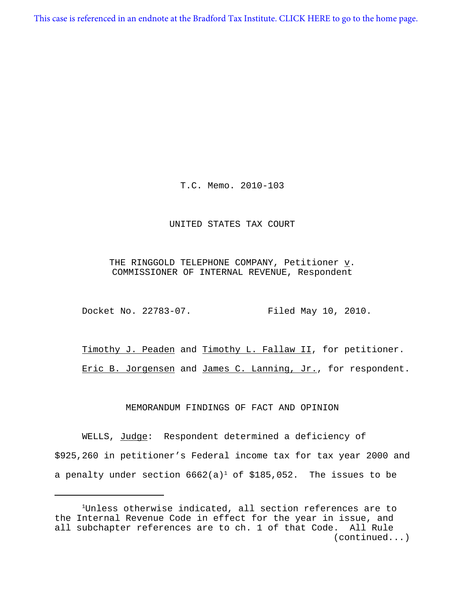[This case is referenced in an endnote at the Bradford Tax Institute. CLICK HERE to go to the home page.](http://bradfordtaxinstitute.com/index1.aspx)

T.C. Memo. 2010-103

#### UNITED STATES TAX COURT

## THE RINGGOLD TELEPHONE COMPANY, Petitioner  $\underline{v}$ . COMMISSIONER OF INTERNAL REVENUE, Respondent

Docket No. 22783-07. Filed May 10, 2010.

Timothy J. Peaden and Timothy L. Fallaw II, for petitioner. Eric B. Jorgensen and James C. Lanning, Jr., for respondent.

#### MEMORANDUM FINDINGS OF FACT AND OPINION

WELLS, Judge: Respondent determined a deficiency of \$925,260 in petitioner's Federal income tax for tax year 2000 and a penalty under section  $6662(a)^1$  of \$185,052. The issues to be

<sup>&</sup>lt;sup>1</sup>Unless otherwise indicated, all section references are to the Internal Revenue Code in effect for the year in issue, and all subchapter references are to ch. 1 of that Code. All Rule (continued...)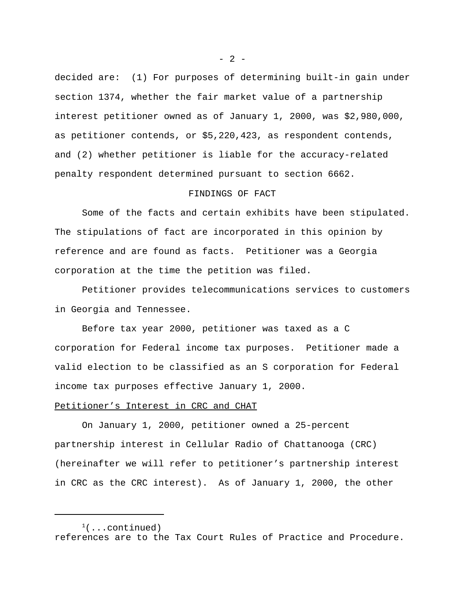decided are: (1) For purposes of determining built-in gain under section 1374, whether the fair market value of a partnership interest petitioner owned as of January 1, 2000, was \$2,980,000, as petitioner contends, or \$5,220,423, as respondent contends, and (2) whether petitioner is liable for the accuracy-related penalty respondent determined pursuant to section 6662.

### FINDINGS OF FACT

Some of the facts and certain exhibits have been stipulated. The stipulations of fact are incorporated in this opinion by reference and are found as facts. Petitioner was a Georgia corporation at the time the petition was filed.

Petitioner provides telecommunications services to customers in Georgia and Tennessee.

Before tax year 2000, petitioner was taxed as a C corporation for Federal income tax purposes. Petitioner made a valid election to be classified as an S corporation for Federal income tax purposes effective January 1, 2000.

#### Petitioner's Interest in CRC and CHAT

On January 1, 2000, petitioner owned a 25-percent partnership interest in Cellular Radio of Chattanooga (CRC) (hereinafter we will refer to petitioner's partnership interest in CRC as the CRC interest). As of January 1, 2000, the other

 $- 2 -$ 

 $(1$ ...continued) references are to the Tax Court Rules of Practice and Procedure.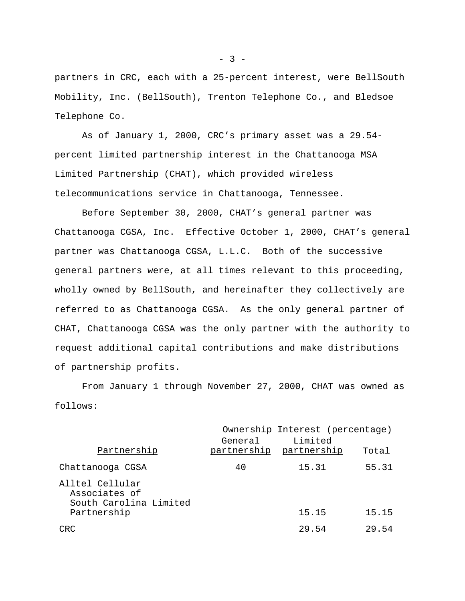partners in CRC, each with a 25-percent interest, were BellSouth Mobility, Inc. (BellSouth), Trenton Telephone Co., and Bledsoe Telephone Co.

As of January 1, 2000, CRC's primary asset was a 29.54 percent limited partnership interest in the Chattanooga MSA Limited Partnership (CHAT), which provided wireless telecommunications service in Chattanooga, Tennessee.

Before September 30, 2000, CHAT's general partner was Chattanooga CGSA, Inc. Effective October 1, 2000, CHAT's general partner was Chattanooga CGSA, L.L.C. Both of the successive general partners were, at all times relevant to this proceeding, wholly owned by BellSouth, and hereinafter they collectively are referred to as Chattanooga CGSA. As the only general partner of CHAT, Chattanooga CGSA was the only partner with the authority to request additional capital contributions and make distributions of partnership profits.

From January 1 through November 27, 2000, CHAT was owned as follows:

|                                                            |         | Ownership Interest (percentage)    |       |
|------------------------------------------------------------|---------|------------------------------------|-------|
| Partnership                                                | General | Limited<br>partnership partnership | Total |
| Chattanooga CGSA                                           | 40      | 15.31                              | 55.31 |
| Alltel Cellular<br>Associates of<br>South Carolina Limited |         |                                    |       |
| Partnership                                                |         | 15.15                              | 15.15 |
| CRC                                                        |         | 29.54                              | 29.54 |

 $-3 -$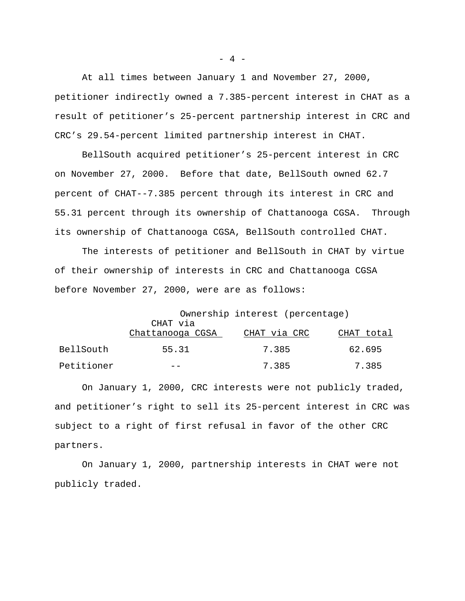At all times between January 1 and November 27, 2000, petitioner indirectly owned a 7.385-percent interest in CHAT as a result of petitioner's 25-percent partnership interest in CRC and CRC's 29.54-percent limited partnership interest in CHAT.

BellSouth acquired petitioner's 25-percent interest in CRC on November 27, 2000. Before that date, BellSouth owned 62.7 percent of CHAT--7.385 percent through its interest in CRC and 55.31 percent through its ownership of Chattanooga CGSA. Through its ownership of Chattanooga CGSA, BellSouth controlled CHAT.

The interests of petitioner and BellSouth in CHAT by virtue of their ownership of interests in CRC and Chattanooga CGSA before November 27, 2000, were are as follows:

|            | Ownership interest (percentage) |              |            |  |
|------------|---------------------------------|--------------|------------|--|
|            | CHAT via<br>Chattanooga CGSA    | CHAT via CRC | CHAT total |  |
| BellSouth  | 55.31                           | 7.385        | 62.695     |  |
| Petitioner |                                 | 7.385        | 7.385      |  |

On January 1, 2000, CRC interests were not publicly traded, and petitioner's right to sell its 25-percent interest in CRC was subject to a right of first refusal in favor of the other CRC partners.

On January 1, 2000, partnership interests in CHAT were not publicly traded.

 $- 4 -$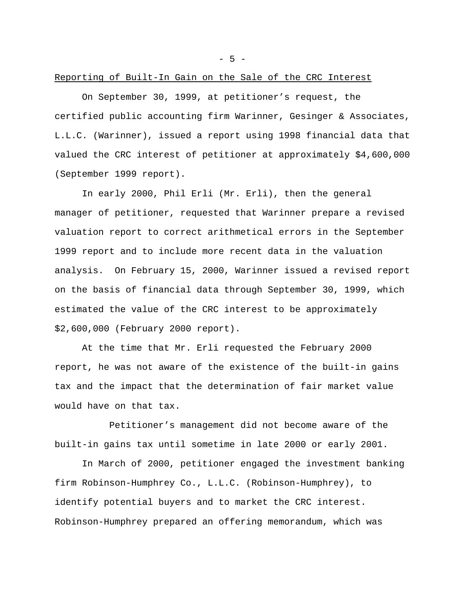- 5 -

## Reporting of Built-In Gain on the Sale of the CRC Interest

On September 30, 1999, at petitioner's request, the certified public accounting firm Warinner, Gesinger & Associates, L.L.C. (Warinner), issued a report using 1998 financial data that valued the CRC interest of petitioner at approximately \$4,600,000 (September 1999 report).

In early 2000, Phil Erli (Mr. Erli), then the general manager of petitioner, requested that Warinner prepare a revised valuation report to correct arithmetical errors in the September 1999 report and to include more recent data in the valuation analysis. On February 15, 2000, Warinner issued a revised report on the basis of financial data through September 30, 1999, which estimated the value of the CRC interest to be approximately \$2,600,000 (February 2000 report).

At the time that Mr. Erli requested the February 2000 report, he was not aware of the existence of the built-in gains tax and the impact that the determination of fair market value would have on that tax.

Petitioner's management did not become aware of the built-in gains tax until sometime in late 2000 or early 2001.

In March of 2000, petitioner engaged the investment banking firm Robinson-Humphrey Co., L.L.C. (Robinson-Humphrey), to identify potential buyers and to market the CRC interest. Robinson-Humphrey prepared an offering memorandum, which was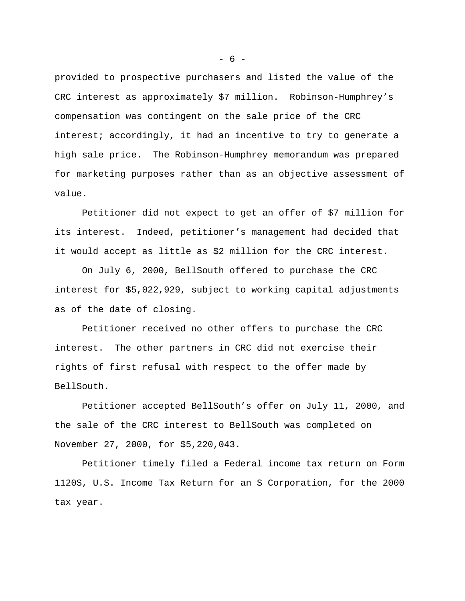provided to prospective purchasers and listed the value of the CRC interest as approximately \$7 million. Robinson-Humphrey's compensation was contingent on the sale price of the CRC interest; accordingly, it had an incentive to try to generate a high sale price. The Robinson-Humphrey memorandum was prepared for marketing purposes rather than as an objective assessment of value.

Petitioner did not expect to get an offer of \$7 million for its interest. Indeed, petitioner's management had decided that it would accept as little as \$2 million for the CRC interest.

On July 6, 2000, BellSouth offered to purchase the CRC interest for \$5,022,929, subject to working capital adjustments as of the date of closing.

Petitioner received no other offers to purchase the CRC interest. The other partners in CRC did not exercise their rights of first refusal with respect to the offer made by BellSouth.

Petitioner accepted BellSouth's offer on July 11, 2000, and the sale of the CRC interest to BellSouth was completed on November 27, 2000, for \$5,220,043.

Petitioner timely filed a Federal income tax return on Form 1120S, U.S. Income Tax Return for an S Corporation, for the 2000 tax year.

 $- 6 -$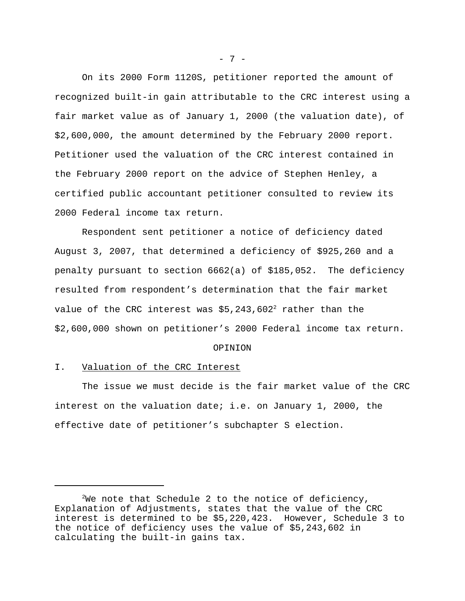On its 2000 Form 1120S, petitioner reported the amount of recognized built-in gain attributable to the CRC interest using a fair market value as of January 1, 2000 (the valuation date), of \$2,600,000, the amount determined by the February 2000 report. Petitioner used the valuation of the CRC interest contained in the February 2000 report on the advice of Stephen Henley, a certified public accountant petitioner consulted to review its 2000 Federal income tax return.

Respondent sent petitioner a notice of deficiency dated August 3, 2007, that determined a deficiency of \$925,260 and a penalty pursuant to section 6662(a) of \$185,052. The deficiency resulted from respondent's determination that the fair market value of the CRC interest was  $$5,243,602^2$  rather than the \$2,600,000 shown on petitioner's 2000 Federal income tax return.

#### OPINION

### I. Valuation of the CRC Interest

The issue we must decide is the fair market value of the CRC interest on the valuation date; i.e. on January 1, 2000, the effective date of petitioner's subchapter S election.

 $- 7 -$ 

 $2$ We note that Schedule 2 to the notice of deficiency, Explanation of Adjustments, states that the value of the CRC interest is determined to be \$5,220,423. However, Schedule 3 to the notice of deficiency uses the value of \$5,243,602 in calculating the built-in gains tax.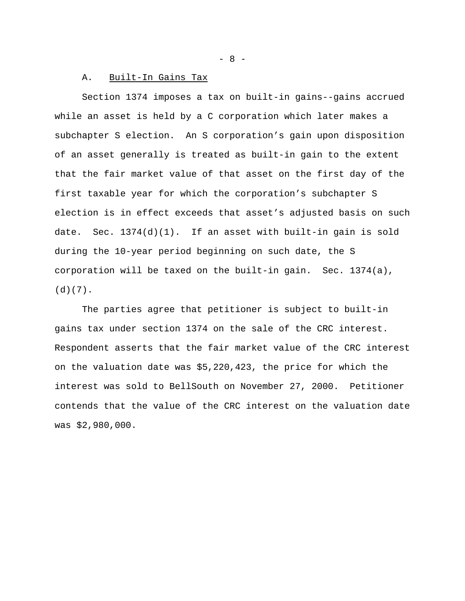#### A. Built-In Gains Tax

Section 1374 imposes a tax on built-in gains--gains accrued while an asset is held by a C corporation which later makes a subchapter S election. An S corporation's gain upon disposition of an asset generally is treated as built-in gain to the extent that the fair market value of that asset on the first day of the first taxable year for which the corporation's subchapter S election is in effect exceeds that asset's adjusted basis on such date. Sec. 1374(d)(1). If an asset with built-in gain is sold during the 10-year period beginning on such date, the S corporation will be taxed on the built-in gain. Sec. 1374(a),  $(d)(7)$ .

The parties agree that petitioner is subject to built-in gains tax under section 1374 on the sale of the CRC interest. Respondent asserts that the fair market value of the CRC interest on the valuation date was \$5,220,423, the price for which the interest was sold to BellSouth on November 27, 2000. Petitioner contends that the value of the CRC interest on the valuation date was \$2,980,000.

- 8 -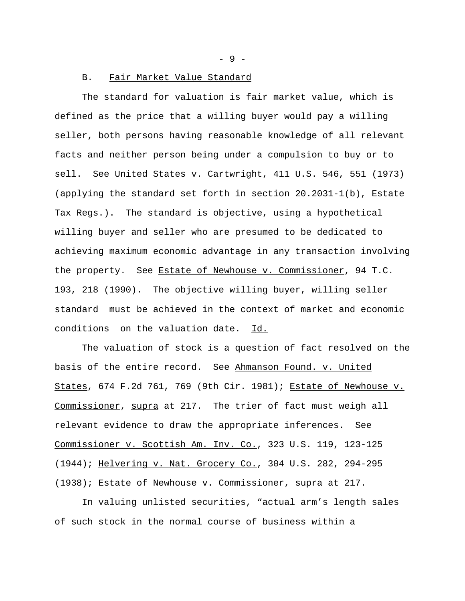- 9 -

#### B. Fair Market Value Standard

The standard for valuation is fair market value, which is defined as the price that a willing buyer would pay a willing seller, both persons having reasonable knowledge of all relevant facts and neither person being under a compulsion to buy or to sell. See United States v. Cartwright, 411 U.S. 546, 551 (1973) (applying the standard set forth in section 20.2031-1(b), Estate Tax Regs.). The standard is objective, using a hypothetical willing buyer and seller who are presumed to be dedicated to achieving maximum economic advantage in any transaction involving the property. See Estate of Newhouse v. Commissioner, 94 T.C. 193, 218 (1990). The objective willing buyer, willing seller standard must be achieved in the context of market and economic conditions on the valuation date. Id.

The valuation of stock is a question of fact resolved on the basis of the entire record. See Ahmanson Found. v. United States, 674 F.2d 761, 769 (9th Cir. 1981); Estate of Newhouse v. Commissioner, supra at 217. The trier of fact must weigh all relevant evidence to draw the appropriate inferences. See Commissioner v. Scottish Am. Inv. Co., 323 U.S. 119, 123-125 (1944); Helvering v. Nat. Grocery Co., 304 U.S. 282, 294-295 (1938); Estate of Newhouse v. Commissioner, supra at 217.

In valuing unlisted securities, "actual arm's length sales of such stock in the normal course of business within a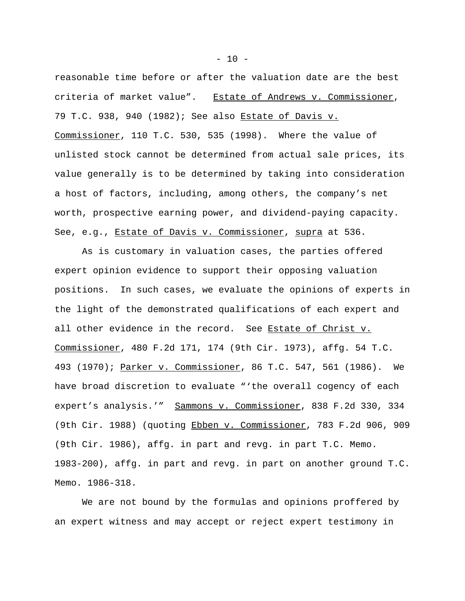reasonable time before or after the valuation date are the best criteria of market value". Estate of Andrews v. Commissioner, 79 T.C. 938, 940 (1982); See also Estate of Davis v. Commissioner, 110 T.C. 530, 535 (1998). Where the value of unlisted stock cannot be determined from actual sale prices, its value generally is to be determined by taking into consideration a host of factors, including, among others, the company's net worth, prospective earning power, and dividend-paying capacity. See, e.g., Estate of Davis v. Commissioner, supra at 536.

As is customary in valuation cases, the parties offered expert opinion evidence to support their opposing valuation positions. In such cases, we evaluate the opinions of experts in the light of the demonstrated qualifications of each expert and all other evidence in the record. See Estate of Christ v. Commissioner, 480 F.2d 171, 174 (9th Cir. 1973), affg. 54 T.C. 493 (1970); Parker v. Commissioner, 86 T.C. 547, 561 (1986). We have broad discretion to evaluate "'the overall cogency of each expert's analysis.'" Sammons v. Commissioner, 838 F.2d 330, 334 (9th Cir. 1988) (quoting Ebben v. Commissioner, 783 F.2d 906, 909 (9th Cir. 1986), affg. in part and revg. in part T.C. Memo. 1983-200), affg. in part and revg. in part on another ground T.C. Memo. 1986-318.

We are not bound by the formulas and opinions proffered by an expert witness and may accept or reject expert testimony in

 $- 10 -$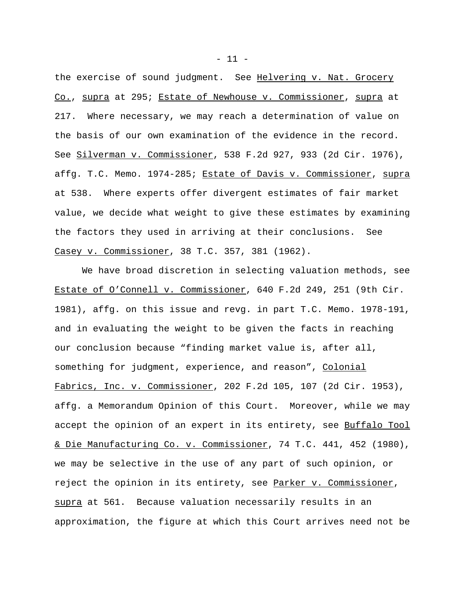the exercise of sound judgment. See Helvering v. Nat. Grocery Co., supra at 295; Estate of Newhouse v. Commissioner, supra at 217. Where necessary, we may reach a determination of value on the basis of our own examination of the evidence in the record. See Silverman v. Commissioner, 538 F.2d 927, 933 (2d Cir. 1976), affg. T.C. Memo. 1974-285; Estate of Davis v. Commissioner, supra at 538. Where experts offer divergent estimates of fair market value, we decide what weight to give these estimates by examining the factors they used in arriving at their conclusions. See Casey v. Commissioner, 38 T.C. 357, 381 (1962).

We have broad discretion in selecting valuation methods, see Estate of O'Connell v. Commissioner, 640 F.2d 249, 251 (9th Cir. 1981), affg. on this issue and revg. in part T.C. Memo. 1978-191, and in evaluating the weight to be given the facts in reaching our conclusion because "finding market value is, after all, something for judgment, experience, and reason", Colonial Fabrics, Inc. v. Commissioner, 202 F.2d 105, 107 (2d Cir. 1953), affg. a Memorandum Opinion of this Court. Moreover, while we may accept the opinion of an expert in its entirety, see Buffalo Tool & Die Manufacturing Co. v. Commissioner, 74 T.C. 441, 452 (1980), we may be selective in the use of any part of such opinion, or reject the opinion in its entirety, see Parker v. Commissioner, supra at 561. Because valuation necessarily results in an approximation, the figure at which this Court arrives need not be

- 11 -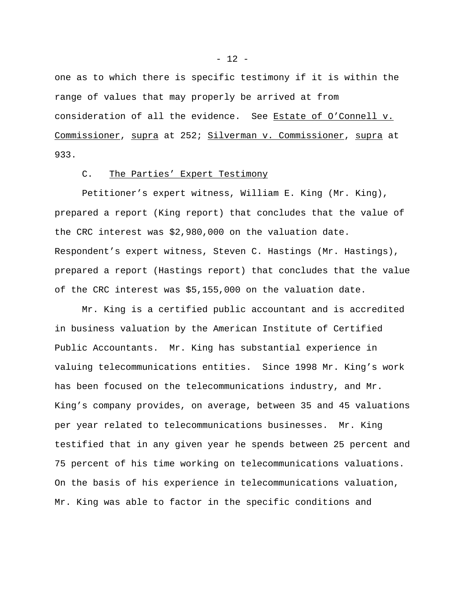one as to which there is specific testimony if it is within the range of values that may properly be arrived at from consideration of all the evidence. See Estate of O'Connell v. Commissioner, supra at 252; Silverman v. Commissioner, supra at 933.

# C. The Parties' Expert Testimony

Petitioner's expert witness, William E. King (Mr. King), prepared a report (King report) that concludes that the value of the CRC interest was \$2,980,000 on the valuation date. Respondent's expert witness, Steven C. Hastings (Mr. Hastings), prepared a report (Hastings report) that concludes that the value of the CRC interest was \$5,155,000 on the valuation date.

Mr. King is a certified public accountant and is accredited in business valuation by the American Institute of Certified Public Accountants. Mr. King has substantial experience in valuing telecommunications entities. Since 1998 Mr. King's work has been focused on the telecommunications industry, and Mr. King's company provides, on average, between 35 and 45 valuations per year related to telecommunications businesses. Mr. King testified that in any given year he spends between 25 percent and 75 percent of his time working on telecommunications valuations. On the basis of his experience in telecommunications valuation, Mr. King was able to factor in the specific conditions and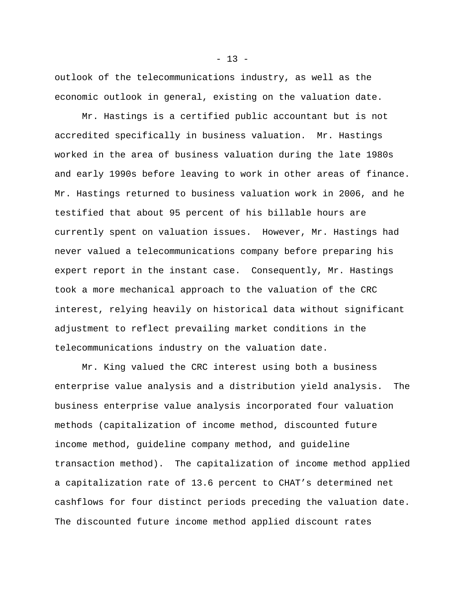outlook of the telecommunications industry, as well as the economic outlook in general, existing on the valuation date.

Mr. Hastings is a certified public accountant but is not accredited specifically in business valuation. Mr. Hastings worked in the area of business valuation during the late 1980s and early 1990s before leaving to work in other areas of finance. Mr. Hastings returned to business valuation work in 2006, and he testified that about 95 percent of his billable hours are currently spent on valuation issues. However, Mr. Hastings had never valued a telecommunications company before preparing his expert report in the instant case. Consequently, Mr. Hastings took a more mechanical approach to the valuation of the CRC interest, relying heavily on historical data without significant adjustment to reflect prevailing market conditions in the telecommunications industry on the valuation date.

Mr. King valued the CRC interest using both a business enterprise value analysis and a distribution yield analysis. The business enterprise value analysis incorporated four valuation methods (capitalization of income method, discounted future income method, guideline company method, and guideline transaction method). The capitalization of income method applied a capitalization rate of 13.6 percent to CHAT's determined net cashflows for four distinct periods preceding the valuation date. The discounted future income method applied discount rates

 $- 13 -$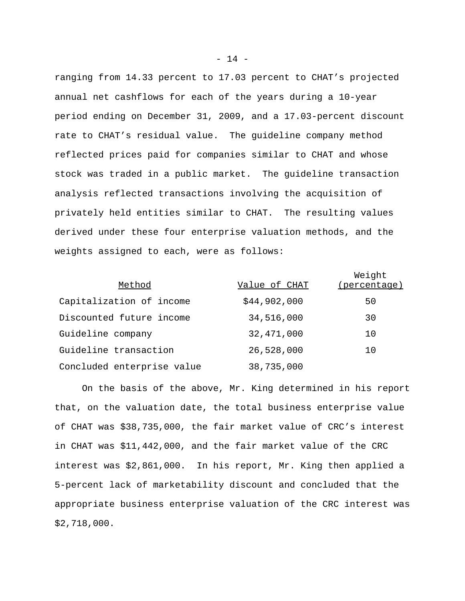ranging from 14.33 percent to 17.03 percent to CHAT's projected annual net cashflows for each of the years during a 10-year period ending on December 31, 2009, and a 17.03-percent discount rate to CHAT's residual value. The guideline company method reflected prices paid for companies similar to CHAT and whose stock was traded in a public market. The guideline transaction analysis reflected transactions involving the acquisition of privately held entities similar to CHAT. The resulting values derived under these four enterprise valuation methods, and the weights assigned to each, were as follows:

| Method                     | Value of CHAT | Weight<br>(percentage) |
|----------------------------|---------------|------------------------|
| Capitalization of income   | \$44,902,000  | 50                     |
| Discounted future income   | 34,516,000    | 30                     |
| Guideline company          | 32, 471, 000  | 10                     |
| Guideline transaction      | 26,528,000    | 10                     |
| Concluded enterprise value | 38,735,000    |                        |

On the basis of the above, Mr. King determined in his report that, on the valuation date, the total business enterprise value of CHAT was \$38,735,000, the fair market value of CRC's interest in CHAT was \$11,442,000, and the fair market value of the CRC interest was \$2,861,000. In his report, Mr. King then applied a 5-percent lack of marketability discount and concluded that the appropriate business enterprise valuation of the CRC interest was \$2,718,000.

- 14 -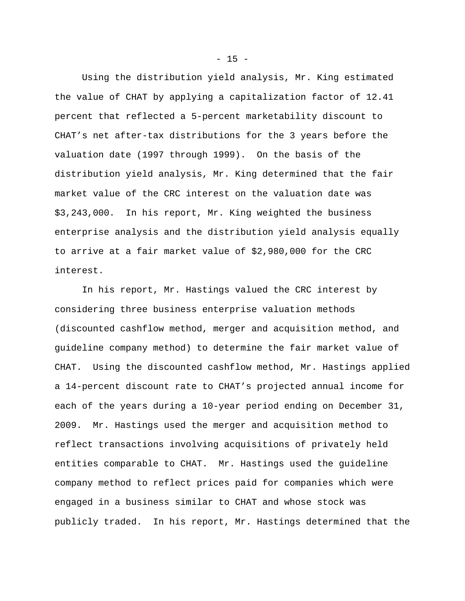Using the distribution yield analysis, Mr. King estimated the value of CHAT by applying a capitalization factor of 12.41 percent that reflected a 5-percent marketability discount to CHAT's net after-tax distributions for the 3 years before the valuation date (1997 through 1999). On the basis of the distribution yield analysis, Mr. King determined that the fair market value of the CRC interest on the valuation date was \$3,243,000. In his report, Mr. King weighted the business enterprise analysis and the distribution yield analysis equally to arrive at a fair market value of \$2,980,000 for the CRC interest.

In his report, Mr. Hastings valued the CRC interest by considering three business enterprise valuation methods (discounted cashflow method, merger and acquisition method, and guideline company method) to determine the fair market value of CHAT. Using the discounted cashflow method, Mr. Hastings applied a 14-percent discount rate to CHAT's projected annual income for each of the years during a 10-year period ending on December 31, 2009. Mr. Hastings used the merger and acquisition method to reflect transactions involving acquisitions of privately held entities comparable to CHAT. Mr. Hastings used the guideline company method to reflect prices paid for companies which were engaged in a business similar to CHAT and whose stock was publicly traded. In his report, Mr. Hastings determined that the

 $- 15 -$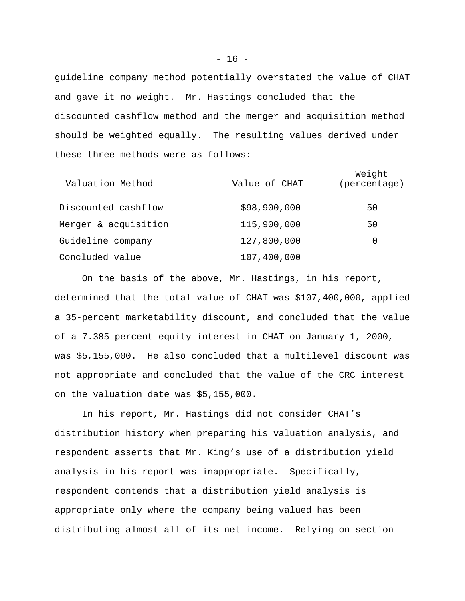guideline company method potentially overstated the value of CHAT and gave it no weight. Mr. Hastings concluded that the discounted cashflow method and the merger and acquisition method should be weighted equally. The resulting values derived under these three methods were as follows:

| Valuation Method     | Value of CHAT | Weight<br>(percentage) |
|----------------------|---------------|------------------------|
| Discounted cashflow  | \$98,900,000  | 50                     |
| Merger & acquisition | 115,900,000   | 50                     |
| Guideline company    | 127,800,000   | 0                      |
| Concluded value      | 107,400,000   |                        |

On the basis of the above, Mr. Hastings, in his report, determined that the total value of CHAT was \$107,400,000, applied a 35-percent marketability discount, and concluded that the value of a 7.385-percent equity interest in CHAT on January 1, 2000, was \$5,155,000. He also concluded that a multilevel discount was not appropriate and concluded that the value of the CRC interest on the valuation date was \$5,155,000.

In his report, Mr. Hastings did not consider CHAT's distribution history when preparing his valuation analysis, and respondent asserts that Mr. King's use of a distribution yield analysis in his report was inappropriate. Specifically, respondent contends that a distribution yield analysis is appropriate only where the company being valued has been distributing almost all of its net income. Relying on section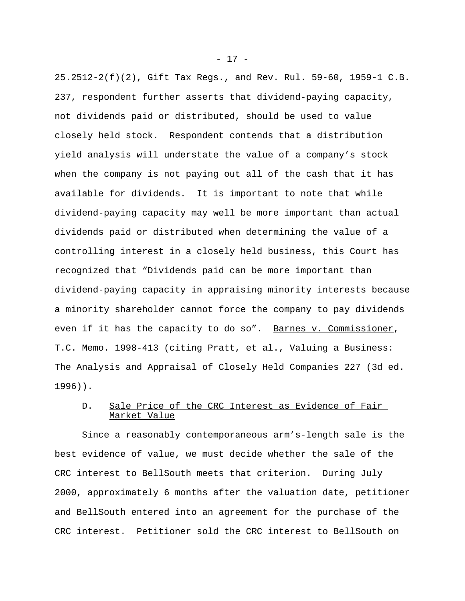25.2512-2(f)(2), Gift Tax Regs., and Rev. Rul. 59-60, 1959-1 C.B. 237, respondent further asserts that dividend-paying capacity, not dividends paid or distributed, should be used to value closely held stock. Respondent contends that a distribution yield analysis will understate the value of a company's stock when the company is not paying out all of the cash that it has available for dividends. It is important to note that while dividend-paying capacity may well be more important than actual dividends paid or distributed when determining the value of a controlling interest in a closely held business, this Court has recognized that "Dividends paid can be more important than dividend-paying capacity in appraising minority interests because a minority shareholder cannot force the company to pay dividends even if it has the capacity to do so". Barnes v. Commissioner, T.C. Memo. 1998-413 (citing Pratt, et al., Valuing a Business: The Analysis and Appraisal of Closely Held Companies 227 (3d ed. 1996)).

## D. Sale Price of the CRC Interest as Evidence of Fair Market Value

Since a reasonably contemporaneous arm's-length sale is the best evidence of value, we must decide whether the sale of the CRC interest to BellSouth meets that criterion. During July 2000, approximately 6 months after the valuation date, petitioner and BellSouth entered into an agreement for the purchase of the CRC interest. Petitioner sold the CRC interest to BellSouth on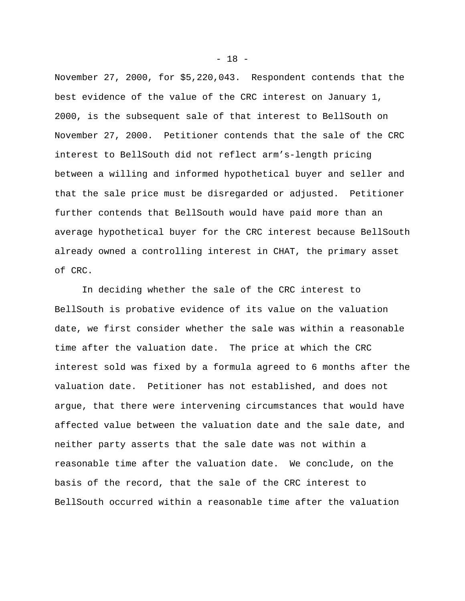November 27, 2000, for \$5,220,043. Respondent contends that the best evidence of the value of the CRC interest on January 1, 2000, is the subsequent sale of that interest to BellSouth on November 27, 2000. Petitioner contends that the sale of the CRC interest to BellSouth did not reflect arm's-length pricing between a willing and informed hypothetical buyer and seller and that the sale price must be disregarded or adjusted. Petitioner further contends that BellSouth would have paid more than an average hypothetical buyer for the CRC interest because BellSouth already owned a controlling interest in CHAT, the primary asset of CRC.

In deciding whether the sale of the CRC interest to BellSouth is probative evidence of its value on the valuation date, we first consider whether the sale was within a reasonable time after the valuation date. The price at which the CRC interest sold was fixed by a formula agreed to 6 months after the valuation date. Petitioner has not established, and does not argue, that there were intervening circumstances that would have affected value between the valuation date and the sale date, and neither party asserts that the sale date was not within a reasonable time after the valuation date. We conclude, on the basis of the record, that the sale of the CRC interest to BellSouth occurred within a reasonable time after the valuation

- 18 -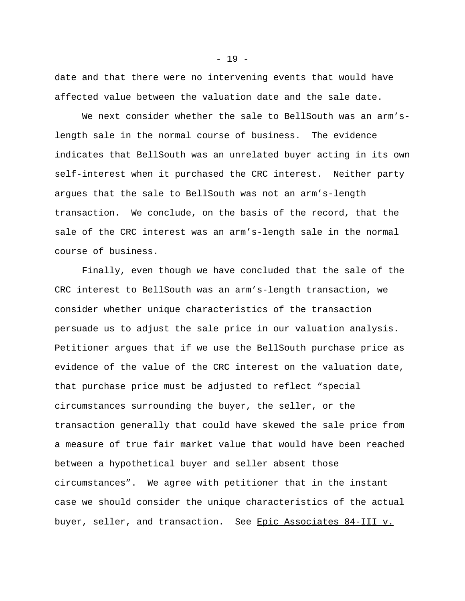date and that there were no intervening events that would have affected value between the valuation date and the sale date.

We next consider whether the sale to BellSouth was an arm'slength sale in the normal course of business. The evidence indicates that BellSouth was an unrelated buyer acting in its own self-interest when it purchased the CRC interest. Neither party argues that the sale to BellSouth was not an arm's-length transaction. We conclude, on the basis of the record, that the sale of the CRC interest was an arm's-length sale in the normal course of business.

Finally, even though we have concluded that the sale of the CRC interest to BellSouth was an arm's-length transaction, we consider whether unique characteristics of the transaction persuade us to adjust the sale price in our valuation analysis. Petitioner argues that if we use the BellSouth purchase price as evidence of the value of the CRC interest on the valuation date, that purchase price must be adjusted to reflect "special circumstances surrounding the buyer, the seller, or the transaction generally that could have skewed the sale price from a measure of true fair market value that would have been reached between a hypothetical buyer and seller absent those circumstances". We agree with petitioner that in the instant case we should consider the unique characteristics of the actual buyer, seller, and transaction. See Epic Associates 84-III v.

- 19 -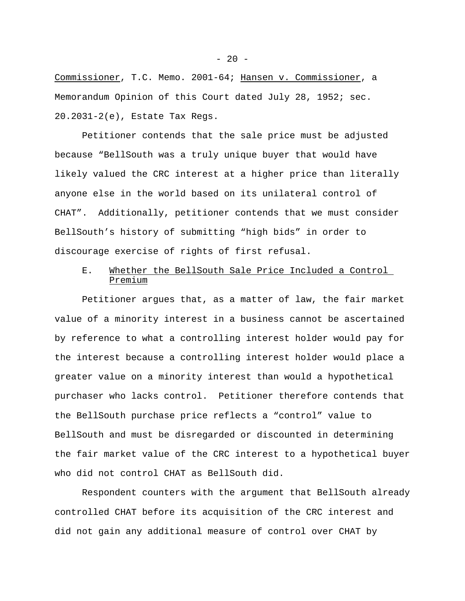Commissioner, T.C. Memo. 2001-64; Hansen v. Commissioner, a Memorandum Opinion of this Court dated July 28, 1952; sec. 20.2031-2(e), Estate Tax Regs.

Petitioner contends that the sale price must be adjusted because "BellSouth was a truly unique buyer that would have likely valued the CRC interest at a higher price than literally anyone else in the world based on its unilateral control of CHAT". Additionally, petitioner contends that we must consider BellSouth's history of submitting "high bids" in order to discourage exercise of rights of first refusal.

## E. Whether the BellSouth Sale Price Included a Control Premium

Petitioner argues that, as a matter of law, the fair market value of a minority interest in a business cannot be ascertained by reference to what a controlling interest holder would pay for the interest because a controlling interest holder would place a greater value on a minority interest than would a hypothetical purchaser who lacks control. Petitioner therefore contends that the BellSouth purchase price reflects a "control" value to BellSouth and must be disregarded or discounted in determining the fair market value of the CRC interest to a hypothetical buyer who did not control CHAT as BellSouth did.

Respondent counters with the argument that BellSouth already controlled CHAT before its acquisition of the CRC interest and did not gain any additional measure of control over CHAT by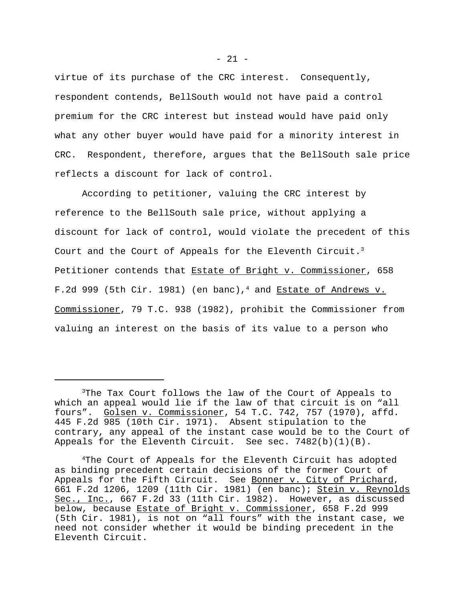virtue of its purchase of the CRC interest. Consequently, respondent contends, BellSouth would not have paid a control premium for the CRC interest but instead would have paid only what any other buyer would have paid for a minority interest in CRC. Respondent, therefore, argues that the BellSouth sale price reflects a discount for lack of control.

According to petitioner, valuing the CRC interest by reference to the BellSouth sale price, without applying a discount for lack of control, would violate the precedent of this Court and the Court of Appeals for the Eleventh Circuit.<sup>3</sup> Petitioner contends that Estate of Bright v. Commissioner, 658 F.2d 999 (5th Cir. 1981) (en banc),<sup>4</sup> and Estate of Andrews v. Commissioner, 79 T.C. 938 (1982), prohibit the Commissioner from valuing an interest on the basis of its value to a person who

<sup>&</sup>lt;sup>3</sup>The Tax Court follows the law of the Court of Appeals to which an appeal would lie if the law of that circuit is on "all fours". Golsen v. Commissioner, 54 T.C. 742, 757 (1970), affd. 445 F.2d 985 (10th Cir. 1971). Absent stipulation to the contrary, any appeal of the instant case would be to the Court of Appeals for the Eleventh Circuit. See sec.  $7482(b)(1)(B)$ .

<sup>4</sup>The Court of Appeals for the Eleventh Circuit has adopted as binding precedent certain decisions of the former Court of Appeals for the Fifth Circuit. See Bonner v. City of Prichard, 661 F.2d 1206, 1209 (11th Cir. 1981) (en banc); Stein v. Reynolds Sec., Inc., 667 F.2d 33 (11th Cir. 1982). However, as discussed below, because Estate of Bright v. Commissioner, 658 F.2d 999 (5th Cir. 1981), is not on "all fours" with the instant case, we need not consider whether it would be binding precedent in the Eleventh Circuit.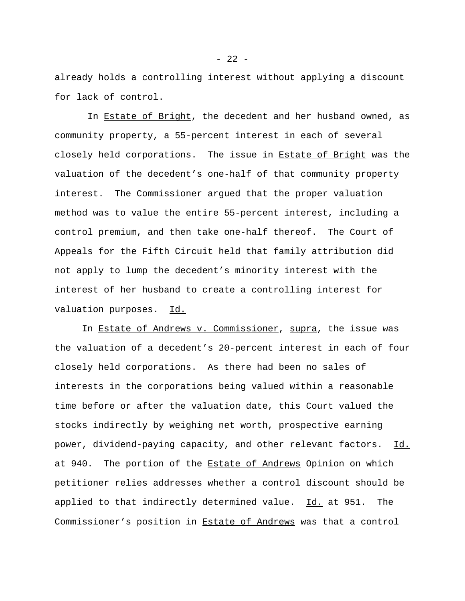already holds a controlling interest without applying a discount for lack of control.

 In Estate of Bright, the decedent and her husband owned, as community property, a 55-percent interest in each of several closely held corporations. The issue in Estate of Bright was the valuation of the decedent's one-half of that community property interest. The Commissioner argued that the proper valuation method was to value the entire 55-percent interest, including a control premium, and then take one-half thereof. The Court of Appeals for the Fifth Circuit held that family attribution did not apply to lump the decedent's minority interest with the interest of her husband to create a controlling interest for valuation purposes. Id.

In Estate of Andrews v. Commissioner, supra, the issue was the valuation of a decedent's 20-percent interest in each of four closely held corporations. As there had been no sales of interests in the corporations being valued within a reasonable time before or after the valuation date, this Court valued the stocks indirectly by weighing net worth, prospective earning power, dividend-paying capacity, and other relevant factors. Id. at 940. The portion of the Estate of Andrews Opinion on which petitioner relies addresses whether a control discount should be applied to that indirectly determined value. Id. at 951. The Commissioner's position in Estate of Andrews was that a control

 $- 22 -$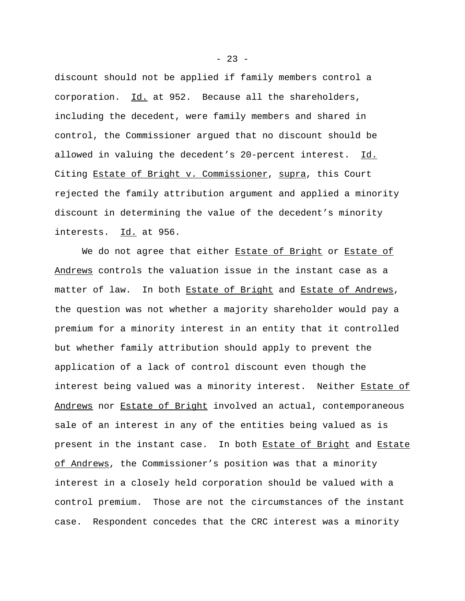discount should not be applied if family members control a corporation. Id. at 952. Because all the shareholders, including the decedent, were family members and shared in control, the Commissioner argued that no discount should be allowed in valuing the decedent's 20-percent interest. Id. Citing Estate of Bright v. Commissioner, supra, this Court rejected the family attribution argument and applied a minority discount in determining the value of the decedent's minority interests. Id. at 956.

We do not agree that either Estate of Bright or Estate of Andrews controls the valuation issue in the instant case as a matter of law. In both Estate of Bright and Estate of Andrews, the question was not whether a majority shareholder would pay a premium for a minority interest in an entity that it controlled but whether family attribution should apply to prevent the application of a lack of control discount even though the interest being valued was a minority interest. Neither Estate of Andrews nor Estate of Bright involved an actual, contemporaneous sale of an interest in any of the entities being valued as is present in the instant case. In both Estate of Bright and Estate of Andrews, the Commissioner's position was that a minority interest in a closely held corporation should be valued with a control premium. Those are not the circumstances of the instant case. Respondent concedes that the CRC interest was a minority

 $- 23 -$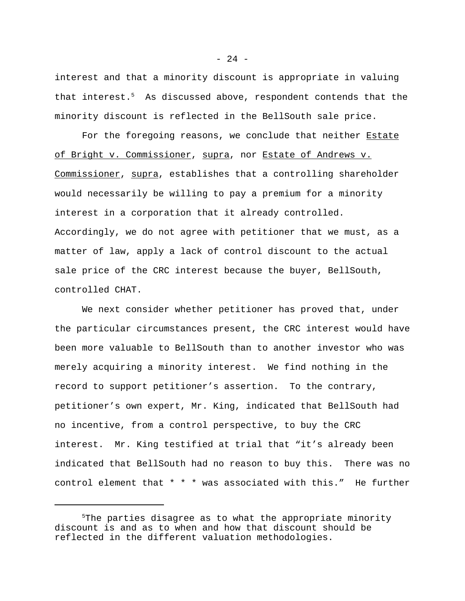interest and that a minority discount is appropriate in valuing that interest.<sup>5</sup> As discussed above, respondent contends that the minority discount is reflected in the BellSouth sale price.

For the foregoing reasons, we conclude that neither Estate of Bright v. Commissioner, supra, nor Estate of Andrews v. Commissioner, supra, establishes that a controlling shareholder would necessarily be willing to pay a premium for a minority interest in a corporation that it already controlled. Accordingly, we do not agree with petitioner that we must, as a matter of law, apply a lack of control discount to the actual sale price of the CRC interest because the buyer, BellSouth, controlled CHAT.

We next consider whether petitioner has proved that, under the particular circumstances present, the CRC interest would have been more valuable to BellSouth than to another investor who was merely acquiring a minority interest. We find nothing in the record to support petitioner's assertion. To the contrary, petitioner's own expert, Mr. King, indicated that BellSouth had no incentive, from a control perspective, to buy the CRC interest. Mr. King testified at trial that "it's already been indicated that BellSouth had no reason to buy this. There was no control element that \* \* \* was associated with this." He further

<sup>&</sup>lt;sup>5</sup>The parties disagree as to what the appropriate minority discount is and as to when and how that discount should be reflected in the different valuation methodologies.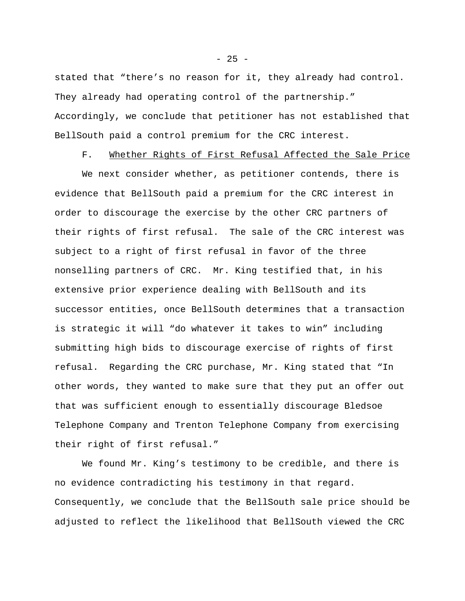stated that "there's no reason for it, they already had control. They already had operating control of the partnership." Accordingly, we conclude that petitioner has not established that BellSouth paid a control premium for the CRC interest.

F. Whether Rights of First Refusal Affected the Sale Price

 We next consider whether, as petitioner contends, there is evidence that BellSouth paid a premium for the CRC interest in order to discourage the exercise by the other CRC partners of their rights of first refusal. The sale of the CRC interest was subject to a right of first refusal in favor of the three nonselling partners of CRC. Mr. King testified that, in his extensive prior experience dealing with BellSouth and its successor entities, once BellSouth determines that a transaction is strategic it will "do whatever it takes to win" including submitting high bids to discourage exercise of rights of first refusal. Regarding the CRC purchase, Mr. King stated that "In other words, they wanted to make sure that they put an offer out that was sufficient enough to essentially discourage Bledsoe Telephone Company and Trenton Telephone Company from exercising their right of first refusal."

We found Mr. King's testimony to be credible, and there is no evidence contradicting his testimony in that regard. Consequently, we conclude that the BellSouth sale price should be adjusted to reflect the likelihood that BellSouth viewed the CRC

 $- 25 -$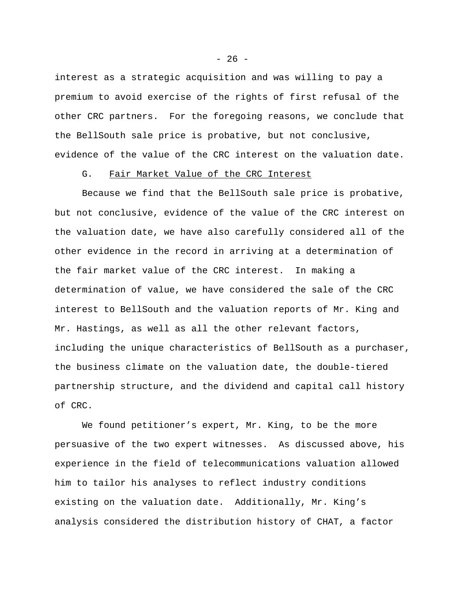interest as a strategic acquisition and was willing to pay a premium to avoid exercise of the rights of first refusal of the other CRC partners. For the foregoing reasons, we conclude that the BellSouth sale price is probative, but not conclusive, evidence of the value of the CRC interest on the valuation date.

## G. Fair Market Value of the CRC Interest

Because we find that the BellSouth sale price is probative, but not conclusive, evidence of the value of the CRC interest on the valuation date, we have also carefully considered all of the other evidence in the record in arriving at a determination of the fair market value of the CRC interest. In making a determination of value, we have considered the sale of the CRC interest to BellSouth and the valuation reports of Mr. King and Mr. Hastings, as well as all the other relevant factors, including the unique characteristics of BellSouth as a purchaser, the business climate on the valuation date, the double-tiered partnership structure, and the dividend and capital call history of CRC.

We found petitioner's expert, Mr. King, to be the more persuasive of the two expert witnesses. As discussed above, his experience in the field of telecommunications valuation allowed him to tailor his analyses to reflect industry conditions existing on the valuation date. Additionally, Mr. King's analysis considered the distribution history of CHAT, a factor

 $- 26 -$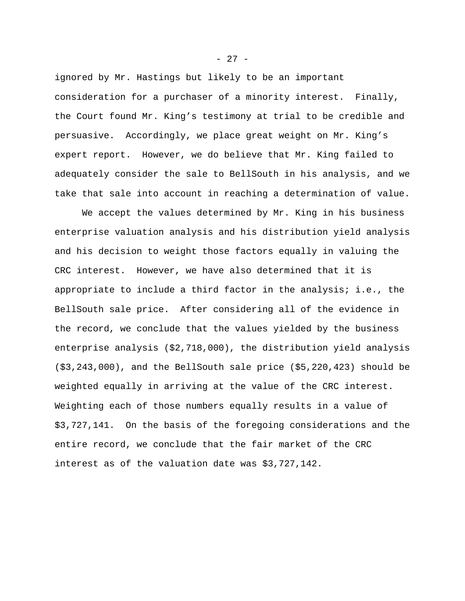ignored by Mr. Hastings but likely to be an important consideration for a purchaser of a minority interest. Finally, the Court found Mr. King's testimony at trial to be credible and persuasive. Accordingly, we place great weight on Mr. King's expert report. However, we do believe that Mr. King failed to adequately consider the sale to BellSouth in his analysis, and we take that sale into account in reaching a determination of value.

We accept the values determined by Mr. King in his business enterprise valuation analysis and his distribution yield analysis and his decision to weight those factors equally in valuing the CRC interest. However, we have also determined that it is appropriate to include a third factor in the analysis; i.e., the BellSouth sale price. After considering all of the evidence in the record, we conclude that the values yielded by the business enterprise analysis (\$2,718,000), the distribution yield analysis (\$3,243,000), and the BellSouth sale price (\$5,220,423) should be weighted equally in arriving at the value of the CRC interest. Weighting each of those numbers equally results in a value of \$3,727,141. On the basis of the foregoing considerations and the entire record, we conclude that the fair market of the CRC interest as of the valuation date was \$3,727,142.

 $- 27 -$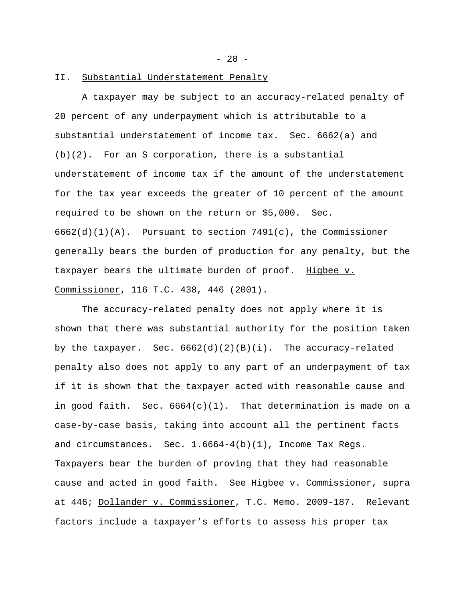- 28 -

### II. Substantial Understatement Penalty

A taxpayer may be subject to an accuracy-related penalty of 20 percent of any underpayment which is attributable to a substantial understatement of income tax. Sec. 6662(a) and (b)(2). For an S corporation, there is a substantial understatement of income tax if the amount of the understatement for the tax year exceeds the greater of 10 percent of the amount required to be shown on the return or \$5,000. Sec.  $6662(d)(1)(A)$ . Pursuant to section  $7491(c)$ , the Commissioner generally bears the burden of production for any penalty, but the taxpayer bears the ultimate burden of proof. Higbee v. Commissioner, 116 T.C. 438, 446 (2001).

The accuracy-related penalty does not apply where it is shown that there was substantial authority for the position taken by the taxpayer. Sec.  $6662(d)(2)(B)(i)$ . The accuracy-related penalty also does not apply to any part of an underpayment of tax if it is shown that the taxpayer acted with reasonable cause and in good faith. Sec.  $6664(c)(1)$ . That determination is made on a case-by-case basis, taking into account all the pertinent facts and circumstances. Sec. 1.6664-4(b)(1), Income Tax Regs. Taxpayers bear the burden of proving that they had reasonable cause and acted in good faith. See Higbee v. Commissioner, supra at 446; Dollander v. Commissioner, T.C. Memo. 2009-187. Relevant factors include a taxpayer's efforts to assess his proper tax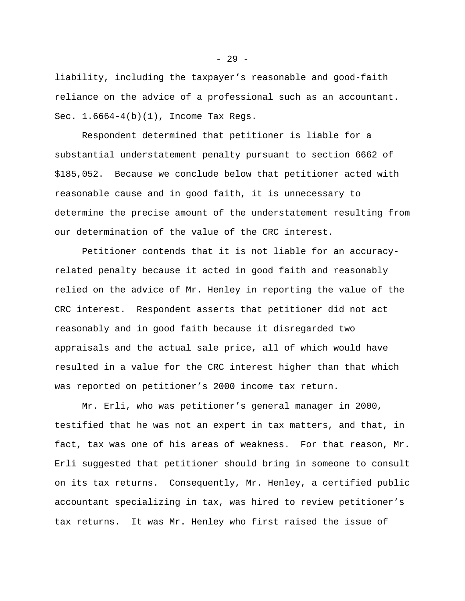liability, including the taxpayer's reasonable and good-faith reliance on the advice of a professional such as an accountant. Sec. 1.6664-4(b)(1), Income Tax Regs.

Respondent determined that petitioner is liable for a substantial understatement penalty pursuant to section 6662 of \$185,052. Because we conclude below that petitioner acted with reasonable cause and in good faith, it is unnecessary to determine the precise amount of the understatement resulting from our determination of the value of the CRC interest.

Petitioner contends that it is not liable for an accuracyrelated penalty because it acted in good faith and reasonably relied on the advice of Mr. Henley in reporting the value of the CRC interest. Respondent asserts that petitioner did not act reasonably and in good faith because it disregarded two appraisals and the actual sale price, all of which would have resulted in a value for the CRC interest higher than that which was reported on petitioner's 2000 income tax return.

Mr. Erli, who was petitioner's general manager in 2000, testified that he was not an expert in tax matters, and that, in fact, tax was one of his areas of weakness. For that reason, Mr. Erli suggested that petitioner should bring in someone to consult on its tax returns. Consequently, Mr. Henley, a certified public accountant specializing in tax, was hired to review petitioner's tax returns. It was Mr. Henley who first raised the issue of

- 29 -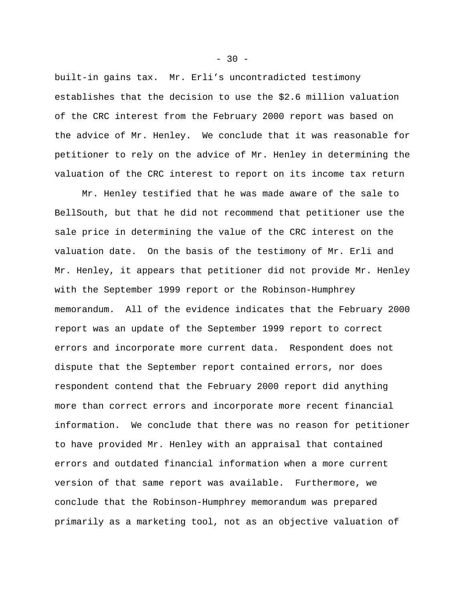built-in gains tax. Mr. Erli's uncontradicted testimony establishes that the decision to use the \$2.6 million valuation of the CRC interest from the February 2000 report was based on the advice of Mr. Henley. We conclude that it was reasonable for petitioner to rely on the advice of Mr. Henley in determining the valuation of the CRC interest to report on its income tax return

Mr. Henley testified that he was made aware of the sale to BellSouth, but that he did not recommend that petitioner use the sale price in determining the value of the CRC interest on the valuation date. On the basis of the testimony of Mr. Erli and Mr. Henley, it appears that petitioner did not provide Mr. Henley with the September 1999 report or the Robinson-Humphrey memorandum. All of the evidence indicates that the February 2000 report was an update of the September 1999 report to correct errors and incorporate more current data. Respondent does not dispute that the September report contained errors, nor does respondent contend that the February 2000 report did anything more than correct errors and incorporate more recent financial information. We conclude that there was no reason for petitioner to have provided Mr. Henley with an appraisal that contained errors and outdated financial information when a more current version of that same report was available. Furthermore, we conclude that the Robinson-Humphrey memorandum was prepared primarily as a marketing tool, not as an objective valuation of

 $-30 -$